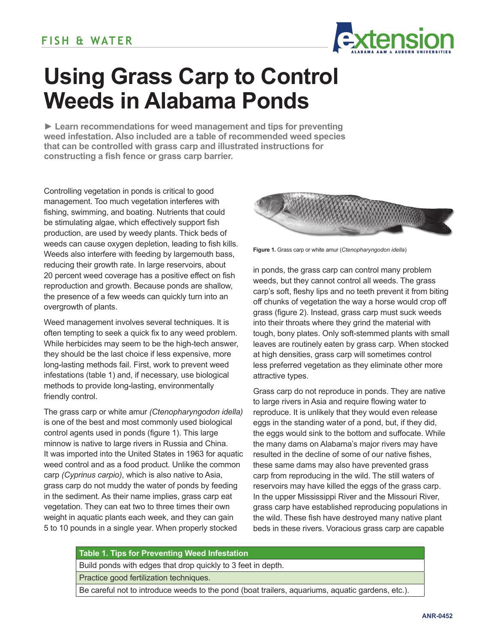

# **Using Grass Carp to Control Weeds in Alabama Ponds**

**► Learn recommendations for weed management and tips for preventing weed infestation. Also included are a table of recommended weed species that can be controlled with grass carp and illustrated instructions for constructing a fish fence or grass carp barrier.**

Controlling vegetation in ponds is critical to good management. Too much vegetation interferes with fishing, swimming, and boating. Nutrients that could be stimulating algae, which effectively support fish production, are used by weedy plants. Thick beds of weeds can cause oxygen depletion, leading to fish kills. Weeds also interfere with feeding by largemouth bass, reducing their growth rate. In large reservoirs, about 20 percent weed coverage has a positive effect on fish reproduction and growth. Because ponds are shallow, the presence of a few weeds can quickly turn into an overgrowth of plants.

Weed management involves several techniques. It is often tempting to seek a quick fix to any weed problem. While herbicides may seem to be the high-tech answer, they should be the last choice if less expensive, more long-lasting methods fail. First, work to prevent weed infestations (table 1) and, if necessary, use biological methods to provide long-lasting, environmentally friendly control.

The grass carp or white amur *(Ctenopharyngodon idella)* is one of the best and most commonly used biological control agents used in ponds (figure 1). This large minnow is native to large rivers in Russia and China. It was imported into the United States in 1963 for aquatic weed control and as a food product. Unlike the common carp *(Cyprinus carpio)*, which is also native to Asia, grass carp do not muddy the water of ponds by feeding in the sediment. As their name implies, grass carp eat vegetation. They can eat two to three times their own weight in aquatic plants each week, and they can gain 5 to 10 pounds in a single year. When properly stocked



**Figure 1.** Grass carp or white amur (*Ctenopharyngodon idella*)

in ponds, the grass carp can control many problem weeds, but they cannot control all weeds. The grass carp's soft, fleshy lips and no teeth prevent it from biting off chunks of vegetation the way a horse would crop off grass (figure 2). Instead, grass carp must suck weeds into their throats where they grind the material with tough, bony plates. Only soft-stemmed plants with small leaves are routinely eaten by grass carp. When stocked at high densities, grass carp will sometimes control less preferred vegetation as they eliminate other more attractive types.

Grass carp do not reproduce in ponds. They are native to large rivers in Asia and require flowing water to reproduce. It is unlikely that they would even release eggs in the standing water of a pond, but, if they did, the eggs would sink to the bottom and suffocate. While the many dams on Alabama's major rivers may have resulted in the decline of some of our native fishes, these same dams may also have prevented grass carp from reproducing in the wild. The still waters of reservoirs may have killed the eggs of the grass carp. In the upper Mississippi River and the Missouri River, grass carp have established reproducing populations in the wild. These fish have destroyed many native plant beds in these rivers. Voracious grass carp are capable

#### **Table 1. Tips for Preventing Weed Infestation**

Build ponds with edges that drop quickly to 3 feet in depth.

Practice good fertilization techniques.

Be careful not to introduce weeds to the pond (boat trailers, aquariums, aquatic gardens, etc.).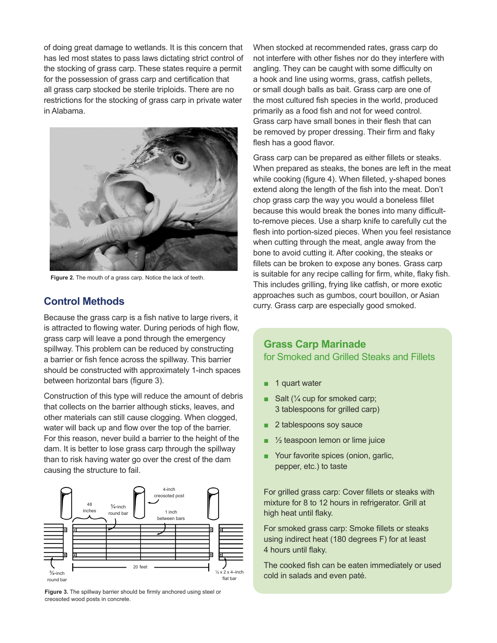of doing great damage to wetlands. It is this concern that has led most states to pass laws dictating strict control of the stocking of grass carp. These states require a permit for the possession of grass carp and certification that all grass carp stocked be sterile triploids. There are no restrictions for the stocking of grass carp in private water in Alabama.



**Figure 2.** The mouth of a grass carp. Notice the lack of teeth.

## **Control Methods**

Because the grass carp is a fish native to large rivers, it is attracted to flowing water. During periods of high flow, grass carp will leave a pond through the emergency spillway. This problem can be reduced by constructing a barrier or fish fence across the spillway. This barrier should be constructed with approximately 1-inch spaces between horizontal bars (figure 3).

Construction of this type will reduce the amount of debris that collects on the barrier although sticks, leaves, and other materials can still cause clogging. When clogged, water will back up and flow over the top of the barrier. For this reason, never build a barrier to the height of the dam. It is better to lose grass carp through the spillway than to risk having water go over the crest of the dam causing the structure to fail.



**Figure 3.** The spillway barrier should be firmly anchored using steel or creosoted wood posts in concrete.

When stocked at recommended rates, grass carp do not interfere with other fishes nor do they interfere with angling. They can be caught with some difficulty on a hook and line using worms, grass, catfish pellets, or small dough balls as bait. Grass carp are one of the most cultured fish species in the world, produced primarily as a food fish and not for weed control. Grass carp have small bones in their flesh that can be removed by proper dressing. Their firm and flaky flesh has a good flavor.

Grass carp can be prepared as either fillets or steaks. When prepared as steaks, the bones are left in the meat while cooking (figure 4). When filleted, y-shaped bones extend along the length of the fish into the meat. Don't chop grass carp the way you would a boneless fillet because this would break the bones into many difficultto-remove pieces. Use a sharp knife to carefully cut the flesh into portion-sized pieces. When you feel resistance when cutting through the meat, angle away from the bone to avoid cutting it. After cooking, the steaks or fillets can be broken to expose any bones. Grass carp is suitable for any recipe calling for firm, white, flaky fish. This includes grilling, frying like catfish, or more exotic approaches such as gumbos, court bouillon, or Asian curry. Grass carp are especially good smoked.

## **Grass Carp Marinade**  for Smoked and Grilled Steaks and Fillets

- 1 quart water
- Salt ( $\frac{1}{4}$  cup for smoked carp; 3 tablespoons for grilled carp)
- 2 tablespoons soy sauce
- $\frac{1}{2}$  teaspoon lemon or lime juice
- Your favorite spices (onion, garlic, pepper, etc.) to taste

For grilled grass carp: Cover fillets or steaks with mixture for 8 to 12 hours in refrigerator. Grill at high heat until flaky.

For smoked grass carp: Smoke fillets or steaks using indirect heat (180 degrees F) for at least 4 hours until flaky.

The cooked fish can be eaten immediately or used cold in salads and even paté.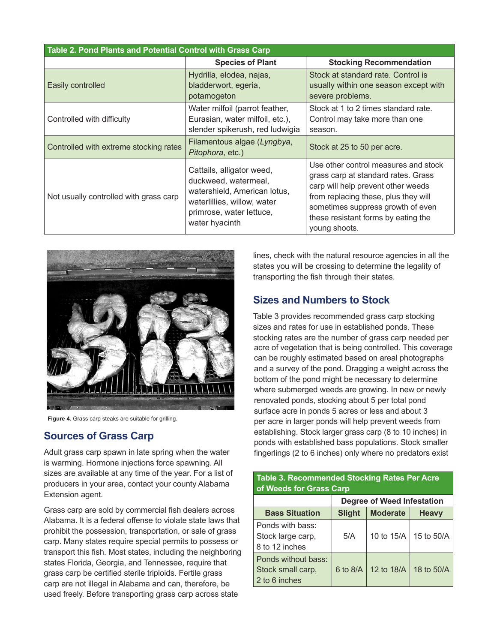| Table 2. Pond Plants and Potential Control with Grass Carp |                                                                                                                                                                |                                                                                                                                                                                                                                                        |  |  |
|------------------------------------------------------------|----------------------------------------------------------------------------------------------------------------------------------------------------------------|--------------------------------------------------------------------------------------------------------------------------------------------------------------------------------------------------------------------------------------------------------|--|--|
|                                                            | <b>Species of Plant</b>                                                                                                                                        | <b>Stocking Recommendation</b>                                                                                                                                                                                                                         |  |  |
| Easily controlled                                          | Hydrilla, elodea, najas,<br>bladderwort, egeria,<br>potamogeton                                                                                                | Stock at standard rate. Control is<br>usually within one season except with<br>severe problems.                                                                                                                                                        |  |  |
| Controlled with difficulty                                 | Water milfoil (parrot feather,<br>Eurasian, water milfoil, etc.),<br>slender spikerush, red ludwigia                                                           | Stock at 1 to 2 times standard rate.<br>Control may take more than one<br>season.                                                                                                                                                                      |  |  |
| Controlled with extreme stocking rates                     | Filamentous algae (Lyngbya,<br>Pitophora, etc.)                                                                                                                | Stock at 25 to 50 per acre.                                                                                                                                                                                                                            |  |  |
| Not usually controlled with grass carp                     | Cattails, alligator weed,<br>duckweed, watermeal,<br>watershield, American lotus,<br>waterlillies, willow, water<br>primrose, water lettuce,<br>water hyacinth | Use other control measures and stock<br>grass carp at standard rates. Grass<br>carp will help prevent other weeds<br>from replacing these, plus they will<br>sometimes suppress growth of even<br>these resistant forms by eating the<br>voung shoots. |  |  |



**Figure 4.** Grass carp steaks are suitable for grilling.

#### **Sources of Grass Carp**

Adult grass carp spawn in late spring when the water is warming. Hormone injections force spawning. All sizes are available at any time of the year. For a list of producers in your area, contact your county Alabama Extension agent.

Grass carp are sold by commercial fish dealers across Alabama. It is a federal offense to violate state laws that prohibit the possession, transportation, or sale of grass carp. Many states require special permits to possess or transport this fish. Most states, including the neighboring states Florida, Georgia, and Tennessee, require that grass carp be certified sterile triploids. Fertile grass carp are not illegal in Alabama and can, therefore, be used freely. Before transporting grass carp across state

lines, check with the natural resource agencies in all the states you will be crossing to determine the legality of transporting the fish through their states.

#### **Sizes and Numbers to Stock**

Table 3 provides recommended grass carp stocking sizes and rates for use in established ponds. These stocking rates are the number of grass carp needed per acre of vegetation that is being controlled. This coverage can be roughly estimated based on areal photographs and a survey of the pond. Dragging a weight across the bottom of the pond might be necessary to determine where submerged weeds are growing. In new or newly renovated ponds, stocking about 5 per total pond surface acre in ponds 5 acres or less and about 3 per acre in larger ponds will help prevent weeds from establishing. Stock larger grass carp (8 to 10 inches) in ponds with established bass populations. Stock smaller fingerlings (2 to 6 inches) only where no predators exist

| of Weeds for Grass Carp                                   |                            |                 |              |  |
|-----------------------------------------------------------|----------------------------|-----------------|--------------|--|
|                                                           | Degree of Weed Infestation |                 |              |  |
| <b>Bass Situation</b>                                     | <b>Slight</b>              | <b>Moderate</b> | <b>Heavy</b> |  |
| Ponds with bass:<br>Stock large carp,<br>8 to 12 inches   | 5/A                        | 10 to 15/A      | 15 to 50/A   |  |
| Ponds without bass:<br>Stock small carp,<br>2 to 6 inches | 6 to 8/A                   | 12 to 18/A      | 18 to 50/A   |  |

**Table 3. Recommended Stocking Rates Per Acre**